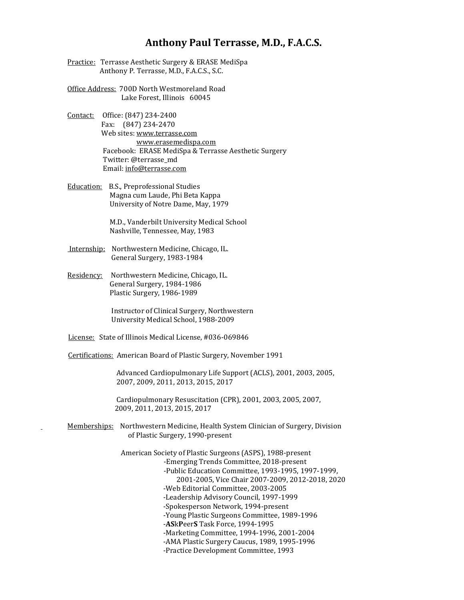## **Anthony Paul Terrasse, M.D., F.A.C.S.**

- Practice: Terrasse Aesthetic Surgery & ERASE MediSpa Anthony P. Terrasse, M.D., F.A.C.S., S.C.
- Office Address: 700D North Westmoreland Road Lake Forest, Illinois 60045
- Contact: Office: (847) 234-2400 Fax: (847) 234-2470 Web sites[: www.terrasse.com](http://www.terrasse.com/) www.erasemedispa.com Facebook: ERASE MediSpa & Terrasse Aesthetic Surgery Twitter: @terrasse\_md Email[: info@terrasse.com](mailto:info@terrasse.com)
- Education: B.S., Preprofessional Studies Magna cum Laude, Phi Beta Kappa University of Notre Dame, May, 1979

 M.D., Vanderbilt University Medical School Nashville, Tennessee, May, 1983

- Internship: Northwestern Medicine, Chicago, IL. General Surgery, 1983-1984
- Residency: Northwestern Medicine, Chicago, IL. General Surgery, 1984-1986 Plastic Surgery, 1986-1989

 Instructor of Clinical Surgery, Northwestern University Medical School, 1988-2009

License: State of Illinois Medical License, #036-069846

Certifications: American Board of Plastic Surgery, November 1991

 Advanced Cardiopulmonary Life Support (ACLS), 2001, 2003, 2005, 2007, 2009, 2011, 2013, 2015, 2017

 Cardiopulmonary Resuscitation (CPR), 2001, 2003, 2005, 2007, 2009, 2011, 2013, 2015, 2017

 Memberships: Northwestern Medicine, Health System Clinician of Surgery, Division of Plastic Surgery, 1990-present

> American Society of Plastic Surgeons (ASPS), 1988-present -Emerging Trends Committee, 2018-present -Public Education Committee, 1993-1995, 1997-1999, 2001-2005, Vice Chair 2007-2009, 2012-2018, 2020 -Web Editorial Committee, 2003-2005 -Leadership Advisory Council, 1997-1999 -Spokesperson Network, 1994-present -Young Plastic Surgeons Committee, 1989-1996 -**AS**k**P**eer**S** Task Force, 1994-1995 -Marketing Committee, 1994-1996, 2001-2004 -AMA Plastic Surgery Caucus, 1989, 1995-1996 -Practice Development Committee, 1993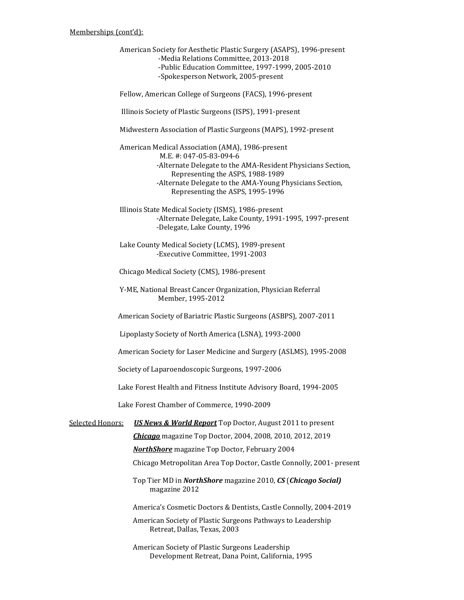American Society for Aesthetic Plastic Surgery (ASAPS), 1996-present -Media Relations Committee, 2013-2018 -Public Education Committee, 1997-1999, 2005-2010 -Spokesperson Network, 2005-present Fellow, American College of Surgeons (FACS), 1996-present Illinois Society of Plastic Surgeons (ISPS), 1991-present Midwestern Association of Plastic Surgeons (MAPS), 1992-present American Medical Association (AMA), 1986-present M.E. #: 047-05-83-094-6 -Alternate Delegate to the AMA-Resident Physicians Section, Representing the ASPS, 1988-1989 -Alternate Delegate to the AMA-Young Physicians Section, Representing the ASPS, 1995-1996 Illinois State Medical Society (ISMS), 1986-present -Alternate Delegate, Lake County, 1991-1995, 1997-present -Delegate, Lake County, 1996 Lake County Medical Society (LCMS), 1989-present -Executive Committee, 1991-2003 Chicago Medical Society (CMS), 1986-present Y-ME, National Breast Cancer Organization, Physician Referral Member, 1995-2012 American Society of Bariatric Plastic Surgeons (ASBPS), 2007-2011 Lipoplasty Society of North America (LSNA), 1993-2000 American Society for Laser Medicine and Surgery (ASLMS), 1995-2008 Society of Laparoendoscopic Surgeons, 1997-2006 Lake Forest Health and Fitness Institute Advisory Board, 1994-2005 Lake Forest Chamber of Commerce, 1990-2009 Selected Honors: *US News & World Report* Top Doctor, August 2011 to present *Chicago* magazine Top Doctor, 2004, 2008, 2010, 2012, 2019 *NorthShore* magazine Top Doctor, February 2004 Chicago Metropolitan Area Top Doctor, Castle Connolly, 2001- present Top Tier MD in *NorthShore* magazine 2010, *CS* (*Chicago Social)* magazine 2012 America's Cosmetic Doctors & Dentists, Castle Connolly, 2004-2019 American Society of Plastic Surgeons Pathways to Leadership Retreat, Dallas, Texas, 2003

> American Society of Plastic Surgeons Leadership Development Retreat, Dana Point, California, 1995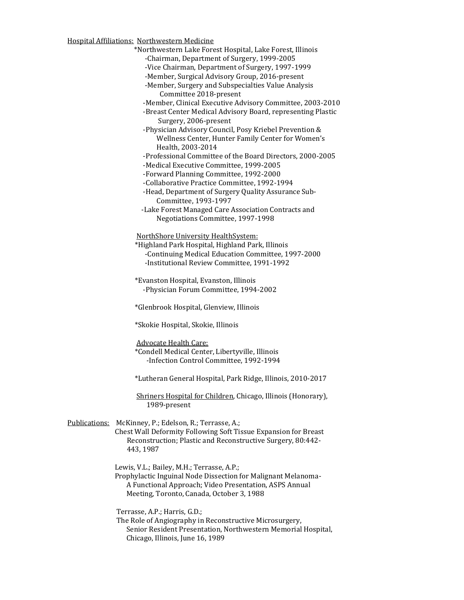Hospital Affiliations: Northwestern Medicine

\*Northwestern Lake Forest Hospital, Lake Forest, Illinois

-Chairman, Department of Surgery, 1999-2005

-Vice Chairman, Department of Surgery, 1997-1999

-Member, Surgical Advisory Group, 2016-present

 -Member, Surgery and Subspecialties Value Analysis Committee 2018-present

-Member, Clinical Executive Advisory Committee, 2003-2010

 -Breast Center Medical Advisory Board, representing Plastic Surgery, 2006-present

 -Physician Advisory Council, Posy Kriebel Prevention & Wellness Center, Hunter Family Center for Women's Health, 2003-2014

-Professional Committee of the Board Directors, 2000-2005

-Medical Executive Committee, 1999-2005

-Forward Planning Committee, 1992-2000

-Collaborative Practice Committee, 1992-1994

 -Head, Department of Surgery Quality Assurance Sub- Committee, 1993-1997

 -Lake Forest Managed Care Association Contracts and Negotiations Committee, 1997-1998

NorthShore University HealthSystem:

 \*Highland Park Hospital, Highland Park, Illinois -Continuing Medical Education Committee, 1997-2000 -Institutional Review Committee, 1991-1992

 \*Evanston Hospital, Evanston, Illinois -Physician Forum Committee, 1994-2002

\*Glenbrook Hospital, Glenview, Illinois

\*Skokie Hospital, Skokie, Illinois

Advocate Health Care:

 \*Condell Medical Center, Libertyville, Illinois -Infection Control Committee, 1992-1994

\*Lutheran General Hospital, Park Ridge, Illinois, 2010-2017

 Shriners Hospital for Children, Chicago, Illinois (Honorary), 1989-present

 Publications: McKinney, P.; Edelson, R.; Terrasse, A.; Chest Wall Deformity Following Soft Tissue Expansion for Breast Reconstruction; Plastic and Reconstructive Surgery, 80:442- 443, 1987

Lewis, V.L.; Bailey, M.H.; Terrasse, A.P.;

 Prophylactic Inguinal Node Dissection for Malignant Melanoma- A Functional Approach; Video Presentation, ASPS Annual Meeting, Toronto, Canada, October 3, 1988

Terrasse, A.P.; Harris, G.D.;

 The Role of Angiography in Reconstructive Microsurgery, Senior Resident Presentation, Northwestern Memorial Hospital, Chicago, Illinois, June 16, 1989